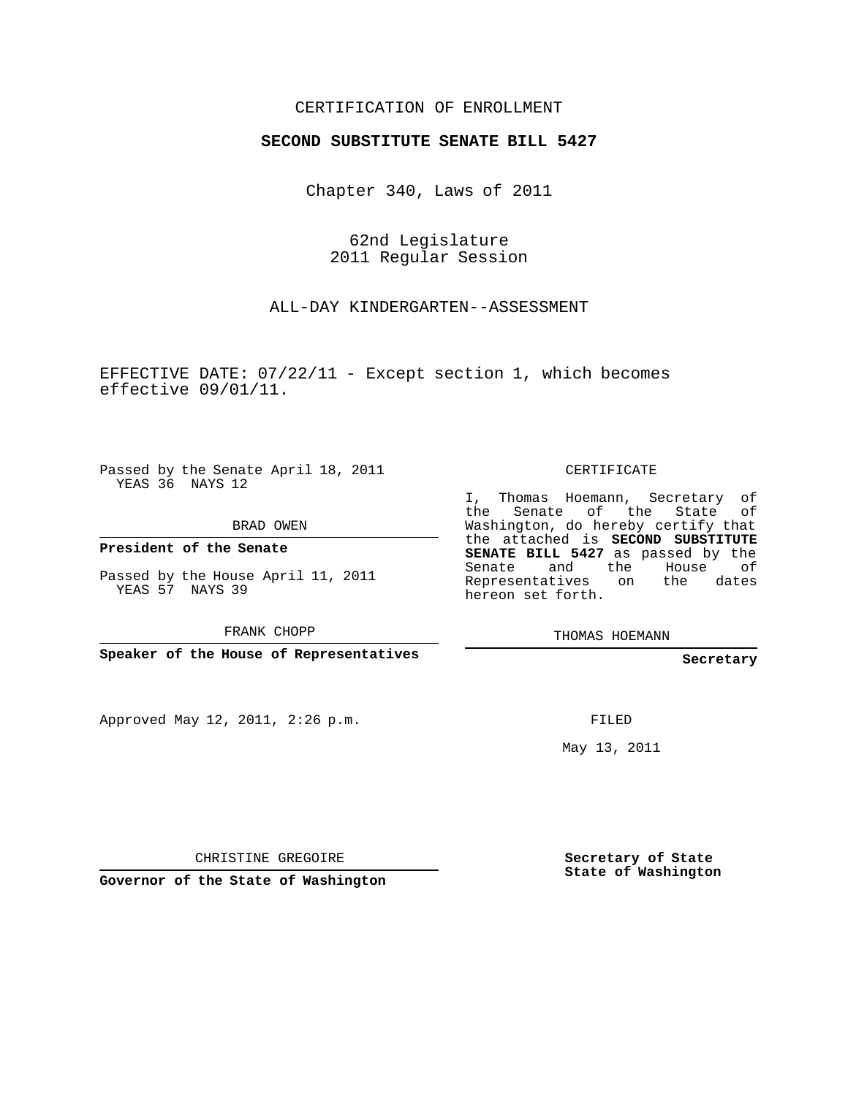## CERTIFICATION OF ENROLLMENT

## **SECOND SUBSTITUTE SENATE BILL 5427**

Chapter 340, Laws of 2011

62nd Legislature 2011 Regular Session

ALL-DAY KINDERGARTEN--ASSESSMENT

EFFECTIVE DATE: 07/22/11 - Except section 1, which becomes effective 09/01/11.

Passed by the Senate April 18, 2011 YEAS 36 NAYS 12

BRAD OWEN

**President of the Senate**

Passed by the House April 11, 2011 YEAS 57 NAYS 39

FRANK CHOPP

**Speaker of the House of Representatives**

Approved May 12, 2011, 2:26 p.m.

CERTIFICATE

I, Thomas Hoemann, Secretary of the Senate of the State Washington, do hereby certify that the attached is **SECOND SUBSTITUTE SENATE BILL 5427** as passed by the Senate and the House of Representatives on the dates hereon set forth.

THOMAS HOEMANN

**Secretary**

FILED

May 13, 2011

CHRISTINE GREGOIRE

**Governor of the State of Washington**

**Secretary of State State of Washington**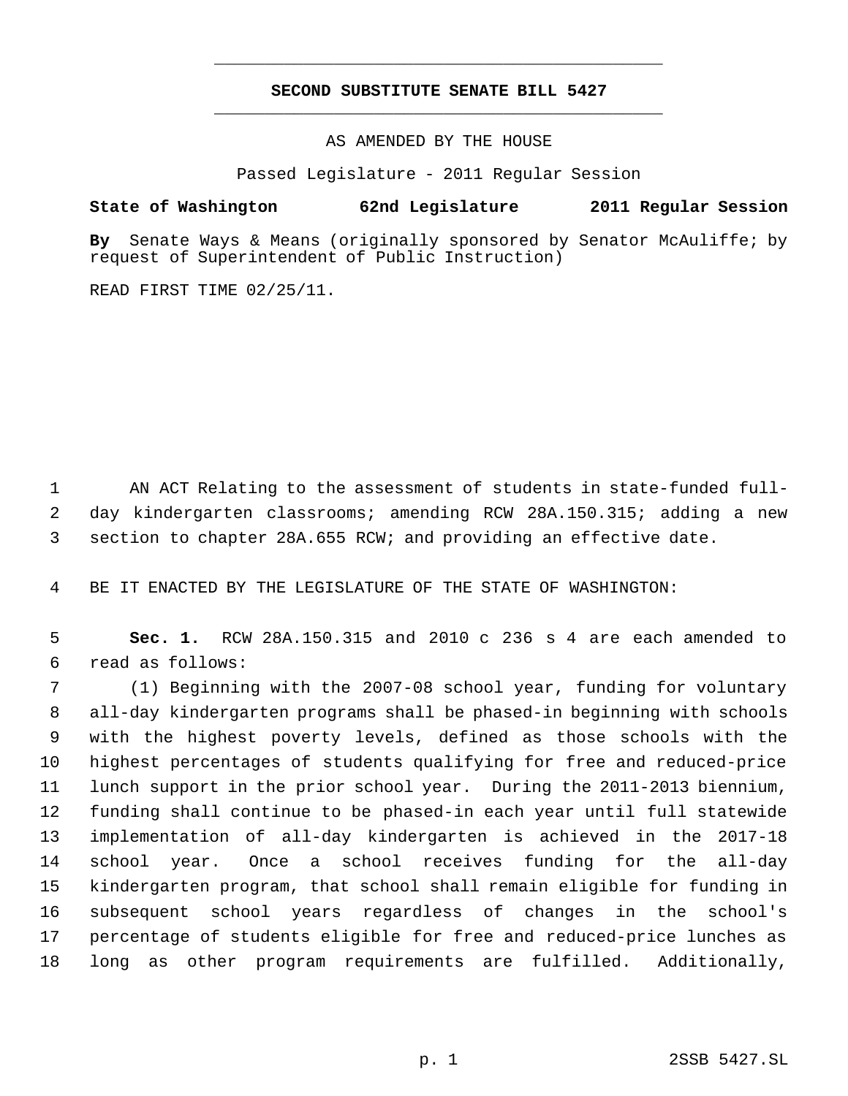## **SECOND SUBSTITUTE SENATE BILL 5427** \_\_\_\_\_\_\_\_\_\_\_\_\_\_\_\_\_\_\_\_\_\_\_\_\_\_\_\_\_\_\_\_\_\_\_\_\_\_\_\_\_\_\_\_\_

\_\_\_\_\_\_\_\_\_\_\_\_\_\_\_\_\_\_\_\_\_\_\_\_\_\_\_\_\_\_\_\_\_\_\_\_\_\_\_\_\_\_\_\_\_

AS AMENDED BY THE HOUSE

Passed Legislature - 2011 Regular Session

## **State of Washington 62nd Legislature 2011 Regular Session**

**By** Senate Ways & Means (originally sponsored by Senator McAuliffe; by request of Superintendent of Public Instruction)

READ FIRST TIME 02/25/11.

 AN ACT Relating to the assessment of students in state-funded full- day kindergarten classrooms; amending RCW 28A.150.315; adding a new section to chapter 28A.655 RCW; and providing an effective date.

BE IT ENACTED BY THE LEGISLATURE OF THE STATE OF WASHINGTON:

 **Sec. 1.** RCW 28A.150.315 and 2010 c 236 s 4 are each amended to read as follows:

 (1) Beginning with the 2007-08 school year, funding for voluntary all-day kindergarten programs shall be phased-in beginning with schools with the highest poverty levels, defined as those schools with the highest percentages of students qualifying for free and reduced-price lunch support in the prior school year. During the 2011-2013 biennium, funding shall continue to be phased-in each year until full statewide implementation of all-day kindergarten is achieved in the 2017-18 school year. Once a school receives funding for the all-day kindergarten program, that school shall remain eligible for funding in subsequent school years regardless of changes in the school's percentage of students eligible for free and reduced-price lunches as long as other program requirements are fulfilled. Additionally,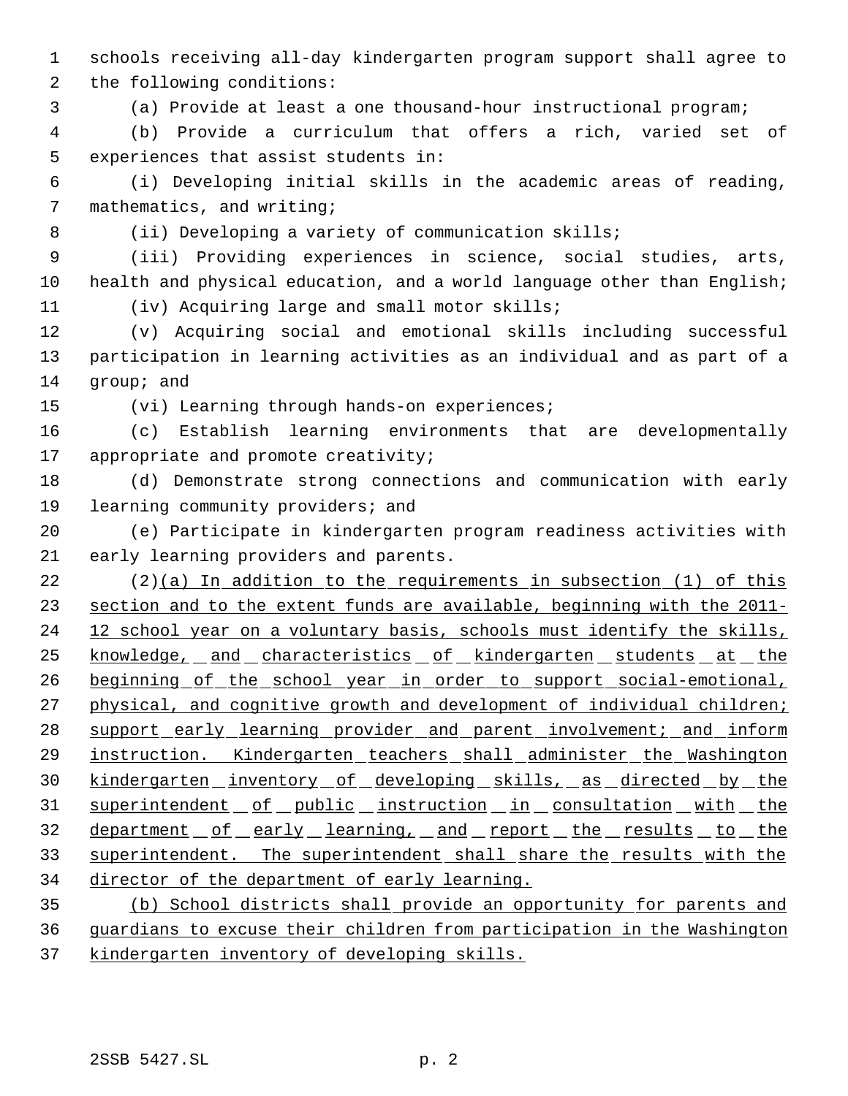schools receiving all-day kindergarten program support shall agree to

the following conditions:

(a) Provide at least a one thousand-hour instructional program;

 (b) Provide a curriculum that offers a rich, varied set of experiences that assist students in:

 (i) Developing initial skills in the academic areas of reading, mathematics, and writing;

8 (ii) Developing a variety of communication skills;

 (iii) Providing experiences in science, social studies, arts, 10 health and physical education, and a world language other than English; (iv) Acquiring large and small motor skills;

 (v) Acquiring social and emotional skills including successful participation in learning activities as an individual and as part of a group; and

(vi) Learning through hands-on experiences;

 (c) Establish learning environments that are developmentally 17 appropriate and promote creativity;

 (d) Demonstrate strong connections and communication with early learning community providers; and

 (e) Participate in kindergarten program readiness activities with early learning providers and parents.

 (2)(a) In addition to the requirements in subsection (1) of this section and to the extent funds are available, beginning with the 2011- 24 12 school year on a voluntary basis, schools must identify the skills, 25 knowledge, and characteristics of kindergarten students at the 26 beginning of the school year in order to support social-emotional, 27 physical, and cognitive growth and development of individual children; 28 support early learning provider and parent involvement; and inform 29 instruction. Kindergarten teachers shall administer the Washington 30 kindergarten inventory of developing skills, as directed by the 31 superintendent of public instruction in consultation with the 32 department of early learning, and report the results to the superintendent. The superintendent shall share the results with the director of the department of early learning.

 (b) School districts shall provide an opportunity for parents and guardians to excuse their children from participation in the Washington kindergarten inventory of developing skills.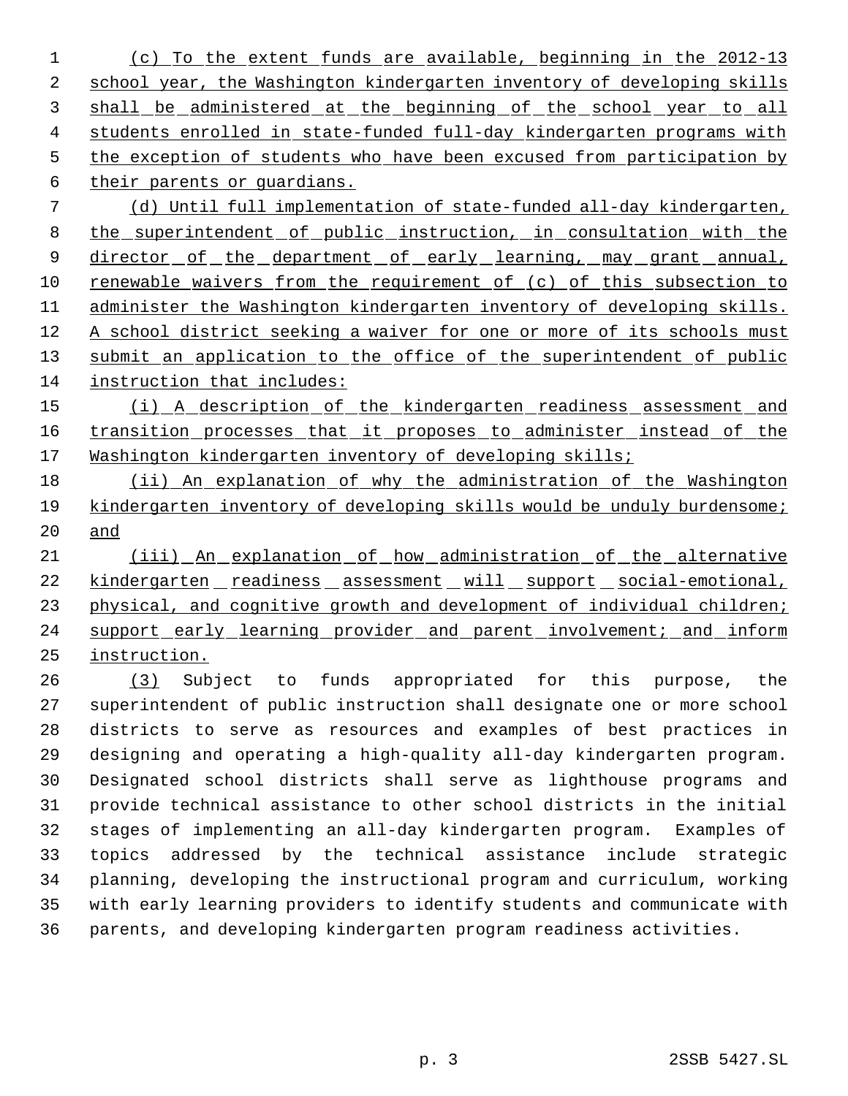(c) To the extent funds are available, beginning in the 2012-13 2 school year, the Washington kindergarten inventory of developing skills shall be administered at the beginning of the school year to all students enrolled in state-funded full-day kindergarten programs with the exception of students who have been excused from participation by

their parents or guardians.

 (d) Until full implementation of state-funded all-day kindergarten, 8 the superintendent of public instruction, in consultation with the 9 director of the department of early learning, may grant annual, renewable waivers from the requirement of (c) of this subsection to administer the Washington kindergarten inventory of developing skills. A school district seeking a waiver for one or more of its schools must 13 submit an application to the office of the superintendent of public instruction that includes:

15 (i) A description of the kindergarten readiness assessment and 16 transition processes that it proposes to administer instead of the 17 Washington kindergarten inventory of developing skills;

 (ii) An explanation of why the administration of the Washington kindergarten inventory of developing skills would be unduly burdensome; and

 (iii) An explanation of how administration of the alternative 22 kindergarten readiness assessment will support social-emotional, 23 physical, and cognitive growth and development of individual children; 24 support early learning provider and parent involvement; and inform instruction.

 (3) Subject to funds appropriated for this purpose, the superintendent of public instruction shall designate one or more school districts to serve as resources and examples of best practices in designing and operating a high-quality all-day kindergarten program. Designated school districts shall serve as lighthouse programs and provide technical assistance to other school districts in the initial stages of implementing an all-day kindergarten program. Examples of topics addressed by the technical assistance include strategic planning, developing the instructional program and curriculum, working with early learning providers to identify students and communicate with parents, and developing kindergarten program readiness activities.